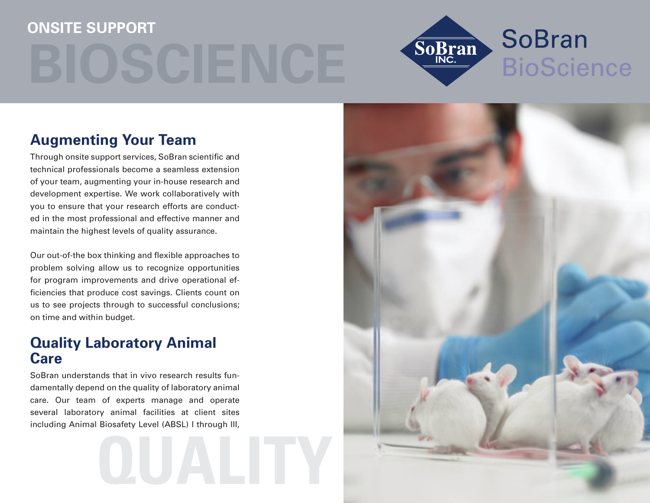# **Onsite Support**



# **Augmenting Your Team**

Through onsite support services, SoBran scientific and technical professionals become a seamless extension of your team, augmenting your in-house research and development expertise. We work collaboratively with you to ensure that your research efforts are conducted in the most professional and effective manner and maintain the highest levels of quality assurance.

Our out-of-the box thinking and flexible approaches to problem solving allow us to recognize opportunities for program improvements and drive operational efficiencies that produce cost savings. Clients count on us to see projects through to successful conclusions; on time and within budget.

## **Quality Laboratory Animal Care**

SoBran understands that in vivo research results fundamentally depend on the quality of laboratory animal care. Our team of experts manage and operate several laboratory animal facilities at client sites including Animal Biosafety Level (ABSL) I through III,